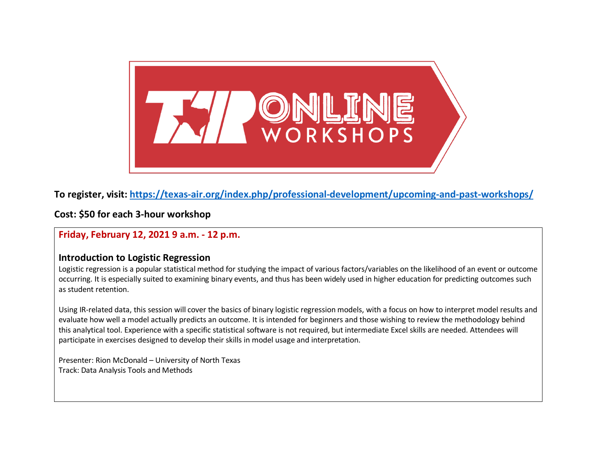

# **To register, visit:<https://texas-air.org/index.php/professional-development/upcoming-and-past-workshops/>**

**Cost: \$50 for each 3-hour workshop**

**Friday, February 12, 2021 9 a.m. - 12 p.m.**

## **Introduction to Logistic Regression**

Logistic regression is a popular statistical method for studying the impact of various factors/variables on the likelihood of an event or outcome occurring. It is especially suited to examining binary events, and thus has been widely used in higher education for predicting outcomes such as student retention.

Using IR-related data, this session will cover the basics of binary logistic regression models, with a focus on how to interpret model results and evaluate how well a model actually predicts an outcome. It is intended for beginners and those wishing to review the methodology behind this analytical tool. Experience with a specific statistical software is not required, but intermediate Excel skills are needed. Attendees will participate in exercises designed to develop their skills in model usage and interpretation.

Presenter: Rion McDonald – University of North Texas Track: Data Analysis Tools and Methods